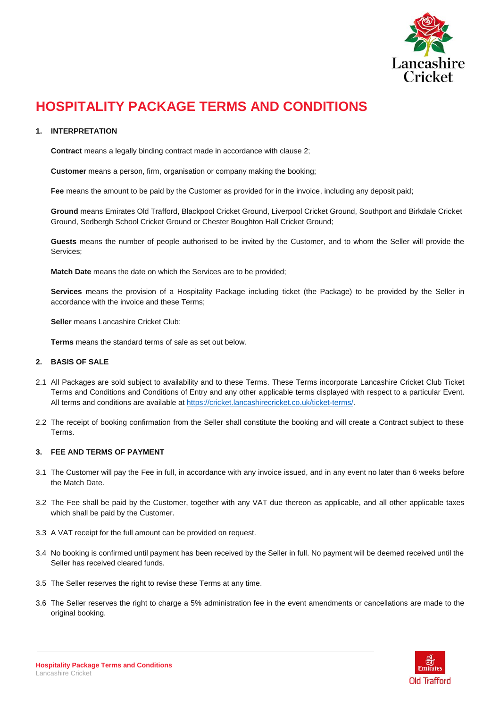

# **HOSPITALITY PACKAGE TERMS AND CONDITIONS**

# **1. INTERPRETATION**

**Contract** means a legally binding contract made in accordance with clause 2;

**Customer** means a person, firm, organisation or company making the booking;

**Fee** means the amount to be paid by the Customer as provided for in the invoice, including any deposit paid;

**Ground** means Emirates Old Trafford, Blackpool Cricket Ground, Liverpool Cricket Ground, Southport and Birkdale Cricket Ground, Sedbergh School Cricket Ground or Chester Boughton Hall Cricket Ground;

**Guests** means the number of people authorised to be invited by the Customer, and to whom the Seller will provide the Services;

**Match Date** means the date on which the Services are to be provided;

**Services** means the provision of a Hospitality Package including ticket (the Package) to be provided by the Seller in accordance with the invoice and these Terms;

**Seller** means Lancashire Cricket Club;

**Terms** means the standard terms of sale as set out below.

# **2. BASIS OF SALE**

- 2.1 All Packages are sold subject to availability and to these Terms. These Terms incorporate Lancashire Cricket Club Ticket Terms and Conditions and Conditions of Entry and any other applicable terms displayed with respect to a particular Event. All terms and conditions are available at [https://cricket.lancashirecricket.co.uk/ticket-terms/.](https://cricket.lancashirecricket.co.uk/ticket-terms/)
- 2.2 The receipt of booking confirmation from the Seller shall constitute the booking and will create a Contract subject to these Terms.

# **3. FEE AND TERMS OF PAYMENT**

- 3.1 The Customer will pay the Fee in full, in accordance with any invoice issued, and in any event no later than 6 weeks before the Match Date.
- 3.2 The Fee shall be paid by the Customer, together with any VAT due thereon as applicable, and all other applicable taxes which shall be paid by the Customer.
- 3.3 A VAT receipt for the full amount can be provided on request.
- 3.4 No booking is confirmed until payment has been received by the Seller in full. No payment will be deemed received until the Seller has received cleared funds.
- 3.5 The Seller reserves the right to revise these Terms at any time.
- 3.6 The Seller reserves the right to charge a 5% administration fee in the event amendments or cancellations are made to the original booking.

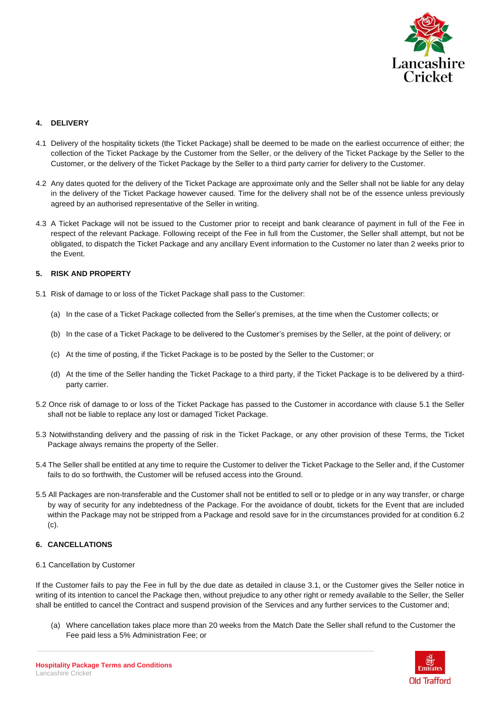

# **4. DELIVERY**

- 4.1 Delivery of the hospitality tickets (the Ticket Package) shall be deemed to be made on the earliest occurrence of either; the collection of the Ticket Package by the Customer from the Seller, or the delivery of the Ticket Package by the Seller to the Customer, or the delivery of the Ticket Package by the Seller to a third party carrier for delivery to the Customer.
- 4.2 Any dates quoted for the delivery of the Ticket Package are approximate only and the Seller shall not be liable for any delay in the delivery of the Ticket Package however caused. Time for the delivery shall not be of the essence unless previously agreed by an authorised representative of the Seller in writing.
- 4.3 A Ticket Package will not be issued to the Customer prior to receipt and bank clearance of payment in full of the Fee in respect of the relevant Package. Following receipt of the Fee in full from the Customer, the Seller shall attempt, but not be obligated, to dispatch the Ticket Package and any ancillary Event information to the Customer no later than 2 weeks prior to the Event.

# **5. RISK AND PROPERTY**

- 5.1 Risk of damage to or loss of the Ticket Package shall pass to the Customer:
	- (a) In the case of a Ticket Package collected from the Seller's premises, at the time when the Customer collects; or
	- (b) In the case of a Ticket Package to be delivered to the Customer's premises by the Seller, at the point of delivery; or
	- (c) At the time of posting, if the Ticket Package is to be posted by the Seller to the Customer; or
	- (d) At the time of the Seller handing the Ticket Package to a third party, if the Ticket Package is to be delivered by a thirdparty carrier.
- 5.2 Once risk of damage to or loss of the Ticket Package has passed to the Customer in accordance with clause 5.1 the Seller shall not be liable to replace any lost or damaged Ticket Package.
- 5.3 Notwithstanding delivery and the passing of risk in the Ticket Package, or any other provision of these Terms, the Ticket Package always remains the property of the Seller.
- 5.4 The Seller shall be entitled at any time to require the Customer to deliver the Ticket Package to the Seller and, if the Customer fails to do so forthwith, the Customer will be refused access into the Ground.
- 5.5 All Packages are non-transferable and the Customer shall not be entitled to sell or to pledge or in any way transfer, or charge by way of security for any indebtedness of the Package. For the avoidance of doubt, tickets for the Event that are included within the Package may not be stripped from a Package and resold save for in the circumstances provided for at condition 6.2 (c).

# **6. CANCELLATIONS**

6.1 Cancellation by Customer

If the Customer fails to pay the Fee in full by the due date as detailed in clause 3.1, or the Customer gives the Seller notice in writing of its intention to cancel the Package then, without prejudice to any other right or remedy available to the Seller, the Seller shall be entitled to cancel the Contract and suspend provision of the Services and any further services to the Customer and;

(a) Where cancellation takes place more than 20 weeks from the Match Date the Seller shall refund to the Customer the Fee paid less a 5% Administration Fee; or

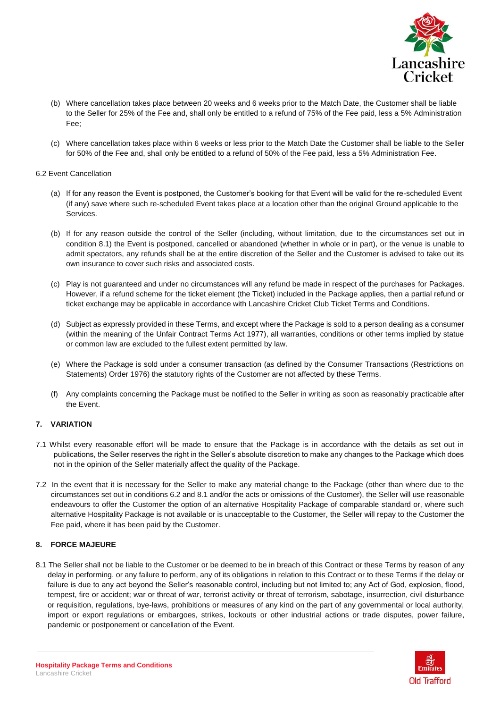

- (b) Where cancellation takes place between 20 weeks and 6 weeks prior to the Match Date, the Customer shall be liable to the Seller for 25% of the Fee and, shall only be entitled to a refund of 75% of the Fee paid, less a 5% Administration Fee;
- (c) Where cancellation takes place within 6 weeks or less prior to the Match Date the Customer shall be liable to the Seller for 50% of the Fee and, shall only be entitled to a refund of 50% of the Fee paid, less a 5% Administration Fee.

#### 6.2 Event Cancellation

- (a) If for any reason the Event is postponed, the Customer's booking for that Event will be valid for the re-scheduled Event (if any) save where such re-scheduled Event takes place at a location other than the original Ground applicable to the Services.
- (b) If for any reason outside the control of the Seller (including, without limitation, due to the circumstances set out in condition 8.1) the Event is postponed, cancelled or abandoned (whether in whole or in part), or the venue is unable to admit spectators, any refunds shall be at the entire discretion of the Seller and the Customer is advised to take out its own insurance to cover such risks and associated costs.
- (c) Play is not guaranteed and under no circumstances will any refund be made in respect of the purchases for Packages. However, if a refund scheme for the ticket element (the Ticket) included in the Package applies, then a partial refund or ticket exchange may be applicable in accordance with Lancashire Cricket Club Ticket Terms and Conditions.
- (d) Subject as expressly provided in these Terms, and except where the Package is sold to a person dealing as a consumer (within the meaning of the Unfair Contract Terms Act 1977), all warranties, conditions or other terms implied by statue or common law are excluded to the fullest extent permitted by law.
- (e) Where the Package is sold under a consumer transaction (as defined by the Consumer Transactions (Restrictions on Statements) Order 1976) the statutory rights of the Customer are not affected by these Terms.
- (f) Any complaints concerning the Package must be notified to the Seller in writing as soon as reasonably practicable after the Event.

# **7. VARIATION**

- 7.1 Whilst every reasonable effort will be made to ensure that the Package is in accordance with the details as set out in publications, the Seller reserves the right in the Seller's absolute discretion to make any changes to the Package which does not in the opinion of the Seller materially affect the quality of the Package.
- 7.2 In the event that it is necessary for the Seller to make any material change to the Package (other than where due to the circumstances set out in conditions 6.2 and 8.1 and/or the acts or omissions of the Customer), the Seller will use reasonable endeavours to offer the Customer the option of an alternative Hospitality Package of comparable standard or, where such alternative Hospitality Package is not available or is unacceptable to the Customer, the Seller will repay to the Customer the Fee paid, where it has been paid by the Customer.

# **8. FORCE MAJEURE**

8.1 The Seller shall not be liable to the Customer or be deemed to be in breach of this Contract or these Terms by reason of any delay in performing, or any failure to perform, any of its obligations in relation to this Contract or to these Terms if the delay or failure is due to any act beyond the Seller's reasonable control, including but not limited to; any Act of God, explosion, flood, tempest, fire or accident; war or threat of war, terrorist activity or threat of terrorism, sabotage, insurrection, civil disturbance or requisition, regulations, bye-laws, prohibitions or measures of any kind on the part of any governmental or local authority, import or export regulations or embargoes, strikes, lockouts or other industrial actions or trade disputes, power failure, pandemic or postponement or cancellation of the Event.

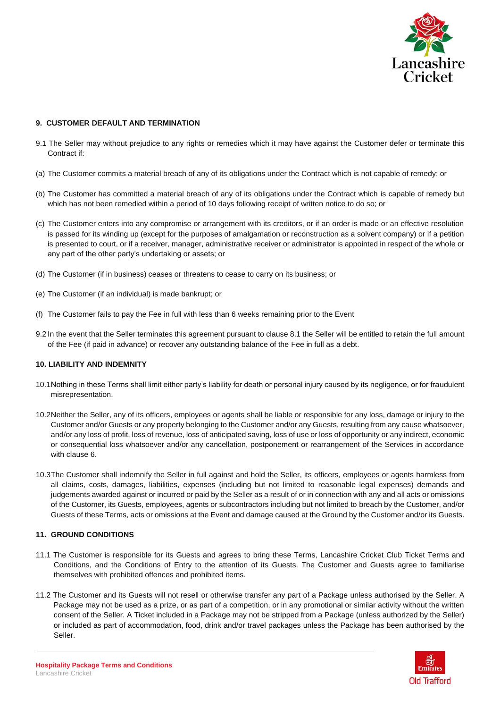

# **9. CUSTOMER DEFAULT AND TERMINATION**

- 9.1 The Seller may without prejudice to any rights or remedies which it may have against the Customer defer or terminate this Contract if:
- (a) The Customer commits a material breach of any of its obligations under the Contract which is not capable of remedy; or
- (b) The Customer has committed a material breach of any of its obligations under the Contract which is capable of remedy but which has not been remedied within a period of 10 days following receipt of written notice to do so; or
- (c) The Customer enters into any compromise or arrangement with its creditors, or if an order is made or an effective resolution is passed for its winding up (except for the purposes of amalgamation or reconstruction as a solvent company) or if a petition is presented to court, or if a receiver, manager, administrative receiver or administrator is appointed in respect of the whole or any part of the other party's undertaking or assets; or
- (d) The Customer (if in business) ceases or threatens to cease to carry on its business; or
- (e) The Customer (if an individual) is made bankrupt; or
- (f) The Customer fails to pay the Fee in full with less than 6 weeks remaining prior to the Event
- 9.2 In the event that the Seller terminates this agreement pursuant to clause 8.1 the Seller will be entitled to retain the full amount of the Fee (if paid in advance) or recover any outstanding balance of the Fee in full as a debt.

# **10. LIABILITY AND INDEMNITY**

- 10.1Nothing in these Terms shall limit either party's liability for death or personal injury caused by its negligence, or for fraudulent misrepresentation.
- 10.2Neither the Seller, any of its officers, employees or agents shall be liable or responsible for any loss, damage or injury to the Customer and/or Guests or any property belonging to the Customer and/or any Guests, resulting from any cause whatsoever, and/or any loss of profit, loss of revenue, loss of anticipated saving, loss of use or loss of opportunity or any indirect, economic or consequential loss whatsoever and/or any cancellation, postponement or rearrangement of the Services in accordance with clause 6.
- 10.3The Customer shall indemnify the Seller in full against and hold the Seller, its officers, employees or agents harmless from all claims, costs, damages, liabilities, expenses (including but not limited to reasonable legal expenses) demands and judgements awarded against or incurred or paid by the Seller as a result of or in connection with any and all acts or omissions of the Customer, its Guests, employees, agents or subcontractors including but not limited to breach by the Customer, and/or Guests of these Terms, acts or omissions at the Event and damage caused at the Ground by the Customer and/or its Guests.

#### **11. GROUND CONDITIONS**

- 11.1 The Customer is responsible for its Guests and agrees to bring these Terms, Lancashire Cricket Club Ticket Terms and Conditions, and the Conditions of Entry to the attention of its Guests. The Customer and Guests agree to familiarise themselves with prohibited offences and prohibited items.
- 11.2 The Customer and its Guests will not resell or otherwise transfer any part of a Package unless authorised by the Seller. A Package may not be used as a prize, or as part of a competition, or in any promotional or similar activity without the written consent of the Seller. A Ticket included in a Package may not be stripped from a Package (unless authorized by the Seller) or included as part of accommodation, food, drink and/or travel packages unless the Package has been authorised by the Seller.

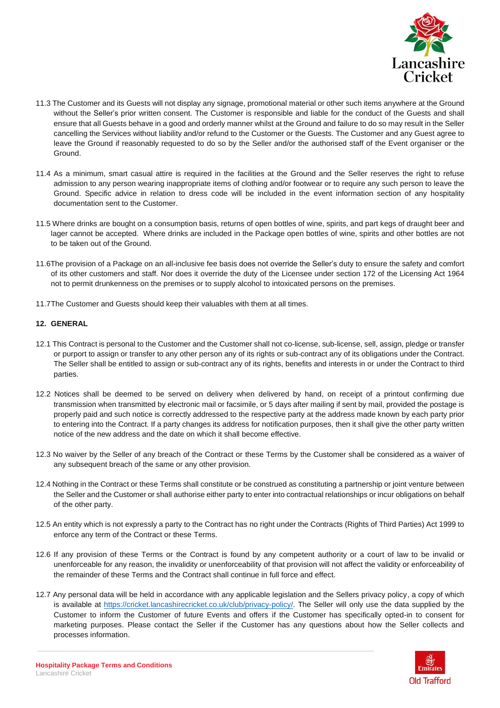

- 11.3 The Customer and its Guests will not display any signage, promotional material or other such items anywhere at the Ground without the Seller's prior written consent. The Customer is responsible and liable for the conduct of the Guests and shall ensure that all Guests behave in a good and orderly manner whilst at the Ground and failure to do so may result in the Seller cancelling the Services without liability and/or refund to the Customer or the Guests. The Customer and any Guest agree to leave the Ground if reasonably requested to do so by the Seller and/or the authorised staff of the Event organiser or the Ground.
- 11.4 As a minimum, smart casual attire is required in the facilities at the Ground and the Seller reserves the right to refuse admission to any person wearing inappropriate items of clothing and/or footwear or to require any such person to leave the Ground. Specific advice in relation to dress code will be included in the event information section of any hospitality documentation sent to the Customer.
- 11.5 Where drinks are bought on a consumption basis, returns of open bottles of wine, spirits, and part kegs of draught beer and lager cannot be accepted. Where drinks are included in the Package open bottles of wine, spirits and other bottles are not to be taken out of the Ground.
- 11.6The provision of a Package on an all-inclusive fee basis does not override the Seller's duty to ensure the safety and comfort of its other customers and staff. Nor does it override the duty of the Licensee under section 172 of the Licensing Act 1964 not to permit drunkenness on the premises or to supply alcohol to intoxicated persons on the premises.
- 11.7The Customer and Guests should keep their valuables with them at all times.

# **12. GENERAL**

- 12.1 This Contract is personal to the Customer and the Customer shall not co-license, sub-license, sell, assign, pledge or transfer or purport to assign or transfer to any other person any of its rights or sub-contract any of its obligations under the Contract. The Seller shall be entitled to assign or sub-contract any of its rights, benefits and interests in or under the Contract to third parties.
- 12.2 Notices shall be deemed to be served on delivery when delivered by hand, on receipt of a printout confirming due transmission when transmitted by electronic mail or facsimile, or 5 days after mailing if sent by mail, provided the postage is properly paid and such notice is correctly addressed to the respective party at the address made known by each party prior to entering into the Contract. If a party changes its address for notification purposes, then it shall give the other party written notice of the new address and the date on which it shall become effective.
- 12.3 No waiver by the Seller of any breach of the Contract or these Terms by the Customer shall be considered as a waiver of any subsequent breach of the same or any other provision.
- 12.4 Nothing in the Contract or these Terms shall constitute or be construed as constituting a partnership or joint venture between the Seller and the Customer or shall authorise either party to enter into contractual relationships or incur obligations on behalf of the other party.
- 12.5 An entity which is not expressly a party to the Contract has no right under the Contracts (Rights of Third Parties) Act 1999 to enforce any term of the Contract or these Terms.
- 12.6 If any provision of these Terms or the Contract is found by any competent authority or a court of law to be invalid or unenforceable for any reason, the invalidity or unenforceability of that provision will not affect the validity or enforceability of the remainder of these Terms and the Contract shall continue in full force and effect.
- 12.7 Any personal data will be held in accordance with any applicable legislation and the Sellers privacy policy, a copy of which is available at [https://cricket.lancashirecricket.co.uk/club/privacy-policy/.](https://cricket.lancashirecricket.co.uk/club/privacy-policy/) The Seller will only use the data supplied by the Customer to inform the Customer of future Events and offers if the Customer has specifically opted-in to consent for marketing purposes. Please contact the Seller if the Customer has any questions about how the Seller collects and processes information.